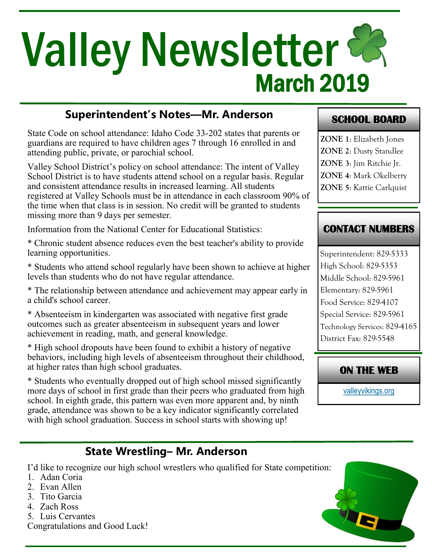# March 2019 **Valley Newsletter &**

# **Superintendent's Notes—Mr. Anderson**

State Code on school attendance: Idaho Code 33-202 states that parents or guardians are required to have children ages 7 through 16 enrolled in and attending public, private, or parochial school.

Valley School District's policy on school attendance: The intent of Valley School District is to have students attend school on a regular basis. Regular and consistent attendance results in increased learning. All students registered at Valley Schools must be in attendance in each classroom 90% of the time when that class is in session. No credit will be granted to students missing more than 9 days per semester.

Information from the National Center for Educational Statistics:

\* Chronic student absence reduces even the best teacher's ability to provide learning opportunities.

\* Students who attend school regularly have been shown to achieve at higher levels than students who do not have regular attendance.

\* The relationship between attendance and achievement may appear early in a child's school career.

\* Absenteeism in kindergarten was associated with negative first grade outcomes such as greater absenteeism in subsequent years and lower achievement in reading, math, and general knowledge.

\* High school dropouts have been found to exhibit a history of negative behaviors, including high levels of absenteeism throughout their childhood, at higher rates than high school graduates.

\* Students who eventually dropped out of high school missed significantly more days of school in first grade than their peers who graduated from high school. In eighth grade, this pattern was even more apparent and, by ninth grade, attendance was shown to be a key indicator significantly correlated with high school graduation. Success in school starts with showing up!

#### **SCHOOL BOARD**

**ZONE 1**: Elizabeth Jones **ZONE 2**: Dusty Standlee **ZONE 3**: Jim Ritchie Jr. **ZONE 4**: Mark Okelberry **ZONE 5**: Kattie Carlquist

#### **CONTACT NUMBERS**

Superintendent: 829-5333 High School: 829-5353 Middle School: 829-5961 Elementary: 829-5961 Food Service: 829-4107 Special Service: 829-5961 Technology Services: 829-4165 District Fax: 829-5548

#### **ON THE WEB**

[valleyvikings.org](http://www.valleyvikings.org/)

# **State Wrestling– Mr. Anderson**

I'd like to recognize our high school wrestlers who qualified for State competition:

- 1. Adan Coria
- 2. Evan Allen
- 3. Tito Garcia
- 4. Zach Ross
- 5. Luis Cervantes
- Congratulations and Good Luck!

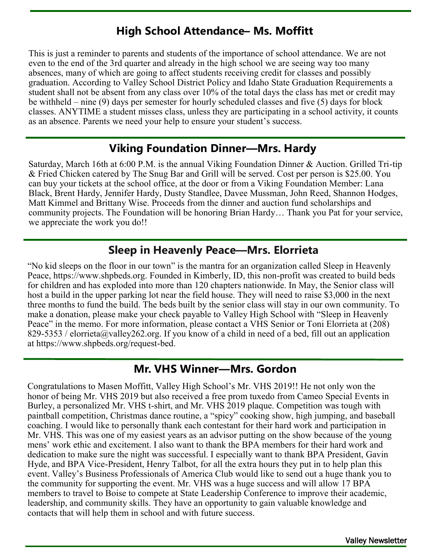### **High School Attendance– Ms. Moffitt**

This is just a reminder to parents and students of the importance of school attendance. We are not even to the end of the 3rd quarter and already in the high school we are seeing way too many absences, many of which are going to affect students receiving credit for classes and possibly graduation. According to Valley School District Policy and Idaho State Graduation Requirements a student shall not be absent from any class over 10% of the total days the class has met or credit may be withheld – nine (9) days per semester for hourly scheduled classes and five (5) days for block classes. ANYTIME a student misses class, unless they are participating in a school activity, it counts as an absence. Parents we need your help to ensure your student's success.

### **Viking Foundation Dinner—Mrs. Hardy**

Saturday, March 16th at 6:00 P.M. is the annual Viking Foundation Dinner & Auction. Grilled Tri-tip & Fried Chicken catered by The Snug Bar and Grill will be served. Cost per person is \$25.00. You can buy your tickets at the school office, at the door or from a Viking Foundation Member: Lana Black, Brent Hardy, Jennifer Hardy, Dusty Standlee, Davee Mussman, John Reed, Shannon Hodges, Matt Kimmel and Brittany Wise. Proceeds from the dinner and auction fund scholarships and community projects. The Foundation will be honoring Brian Hardy… Thank you Pat for your service, we appreciate the work you do!!

### **Sleep in Heavenly Peace—Mrs. Elorrieta**

"No kid sleeps on the floor in our town" is the mantra for an organization called Sleep in Heavenly Peace, https://www.shpbeds.org. Founded in Kimberly, ID, this non-profit was created to build beds for children and has exploded into more than 120 chapters nationwide. In May, the Senior class will host a build in the upper parking lot near the field house. They will need to raise \$3,000 in the next three months to fund the build. The beds built by the senior class will stay in our own community. To make a donation, please make your check payable to Valley High School with "Sleep in Heavenly Peace" in the memo. For more information, please contact a VHS Senior or Toni Elorrieta at (208) 829-5353 / elorrieta@valley262.org. If you know of a child in need of a bed, fill out an application at https://www.shpbeds.org/request-bed.

# **Mr. VHS Winner—Mrs. Gordon**

Congratulations to Masen Moffitt, Valley High School's Mr. VHS 2019!! He not only won the honor of being Mr. VHS 2019 but also received a free prom tuxedo from Cameo Special Events in Burley, a personalized Mr. VHS t-shirt, and Mr. VHS 2019 plaque. Competition was tough with paintball competition, Christmas dance routine, a "spicy" cooking show, high jumping, and baseball coaching. I would like to personally thank each contestant for their hard work and participation in Mr. VHS. This was one of my easiest years as an advisor putting on the show because of the young mens' work ethic and excitement. I also want to thank the BPA members for their hard work and dedication to make sure the night was successful. I especially want to thank BPA President, Gavin Hyde, and BPA Vice-President, Henry Talbot, for all the extra hours they put in to help plan this event. Valley's Business Professionals of America Club would like to send out a huge thank you to the community for supporting the event. Mr. VHS was a huge success and will allow 17 BPA members to travel to Boise to compete at State Leadership Conference to improve their academic, leadership, and community skills. They have an opportunity to gain valuable knowledge and contacts that will help them in school and with future success.